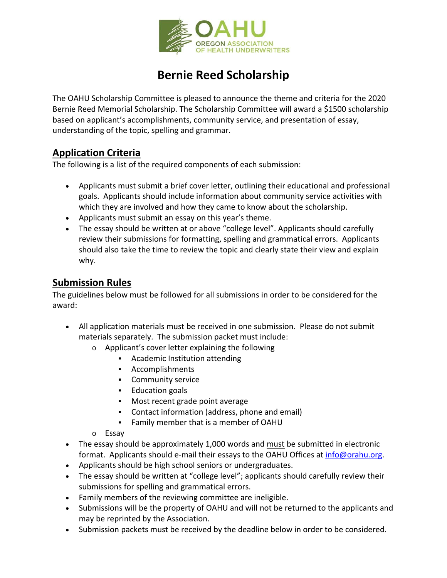

# **Bernie Reed Scholarship**

The OAHU Scholarship Committee is pleased to announce the theme and criteria for the 2020 Bernie Reed Memorial Scholarship. The Scholarship Committee will award a \$1500 scholarship based on applicant's accomplishments, community service, and presentation of essay, understanding of the topic, spelling and grammar.

### **Application Criteria**

The following is a list of the required components of each submission:

- Applicants must submit a brief cover letter, outlining their educational and professional goals. Applicants should include information about community service activities with which they are involved and how they came to know about the scholarship.
- Applicants must submit an essay on this year's theme.
- The essay should be written at or above "college level". Applicants should carefully review their submissions for formatting, spelling and grammatical errors. Applicants should also take the time to review the topic and clearly state their view and explain why.

#### **Submission Rules**

The guidelines below must be followed for all submissions in order to be considered for the award:

- All application materials must be received in one submission. Please do not submit materials separately. The submission packet must include:
	- o Applicant's cover letter explaining the following
		- Academic Institution attending
		- Accomplishments
		- **Community service**
		- **Education goals**
		- **Most recent grade point average**
		- Contact information (address, phone and email)
		- Family member that is a member of OAHU
	- o Essay
- The essay should be approximately 1,000 words and must be submitted in electronic format. Applicants should e-mail their essays to the OAHU Offices at info@orahu.org.
- Applicants should be high school seniors or undergraduates.
- The essay should be written at "college level"; applicants should carefully review their submissions for spelling and grammatical errors.
- Family members of the reviewing committee are ineligible.
- Submissions will be the property of OAHU and will not be returned to the applicants and may be reprinted by the Association.
- Submission packets must be received by the deadline below in order to be considered.